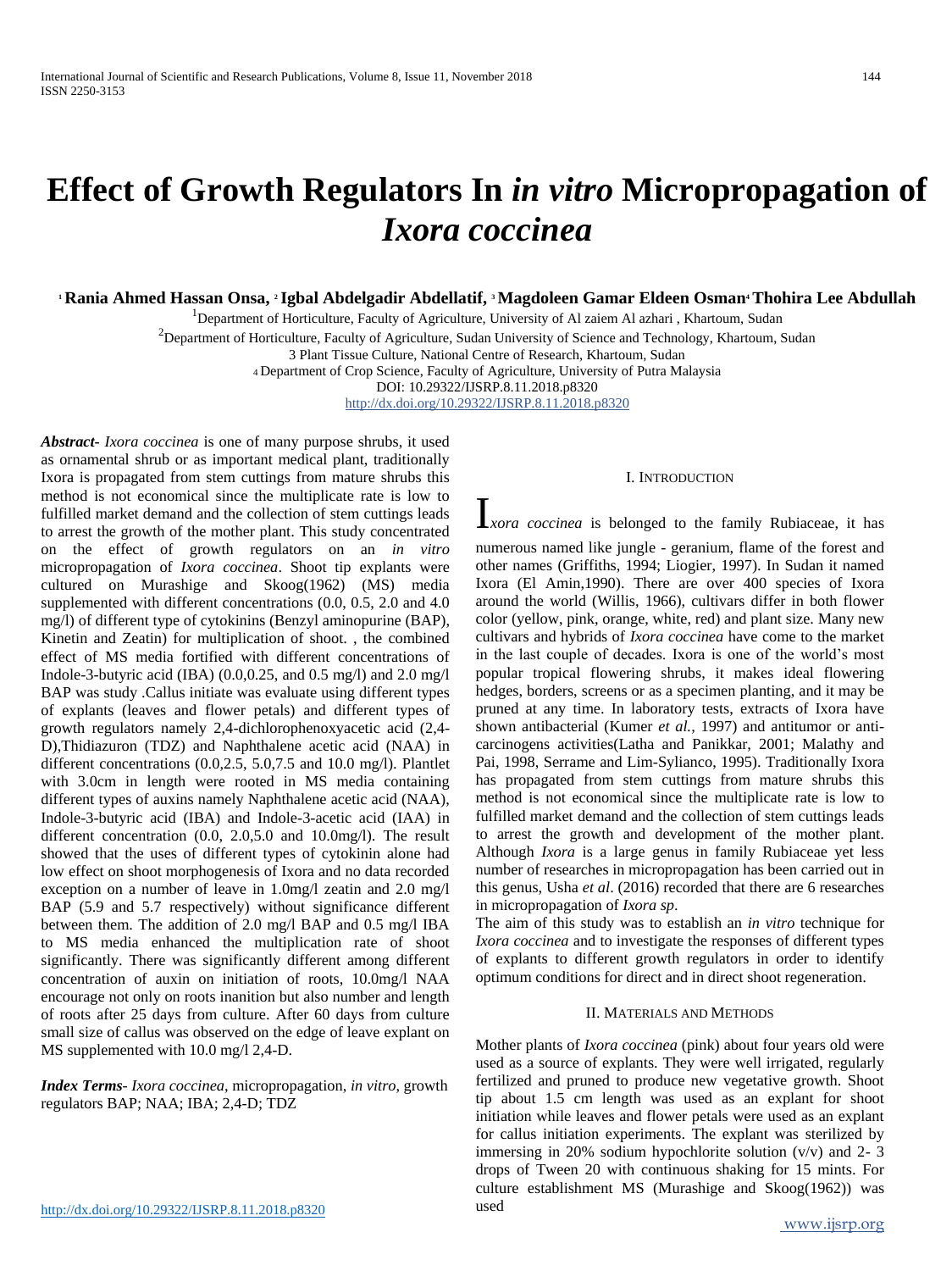# **Effect of Growth Regulators In** *in vitro* **Micropropagation of**  *Ixora coccinea*

**<sup>1</sup> Rania Ahmed Hassan Onsa, <sup>2</sup> Igbal Abdelgadir Abdellatif, <sup>3</sup> Magdoleen Gamar Eldeen Osman4Thohira Lee Abdullah**

<sup>1</sup>Department of Horticulture, Faculty of Agriculture, University of Al zaiem Al azhari, Khartoum, Sudan

 $^{2}$ Department of Horticulture, Faculty of Agriculture, Sudan University of Science and Technology, Khartoum, Sudan

3 Plant Tissue Culture, National Centre of Research, Khartoum, Sudan

<sup>4</sup>Department of Crop Science, Faculty of Agriculture, University of Putra Malaysia

DOI: 10.29322/IJSRP.8.11.2018.p8320

http://dx.doi.org/10.29322/IJSRP.8.11.2018.p8320

*Abstract***-** *Ixora coccinea* is one of many purpose shrubs, it used as ornamental shrub or as important medical plant, traditionally Ixora is propagated from stem cuttings from mature shrubs this method is not economical since the multiplicate rate is low to fulfilled market demand and the collection of stem cuttings leads to arrest the growth of the mother plant. This study concentrated on the effect of growth regulators on an *in vitro*  micropropagation of *Ixora coccinea*. Shoot tip explants were cultured on Murashige and Skoog(1962) (MS) media supplemented with different concentrations (0.0, 0.5, 2.0 and 4.0 mg/l) of different type of cytokinins (Benzyl aminopurine (BAP), Kinetin and Zeatin) for multiplication of shoot. , the combined effect of MS media fortified with different concentrations of Indole-3-butyric acid (IBA) (0.0,0.25, and 0.5 mg/l) and 2.0 mg/l BAP was study .Callus initiate was evaluate using different types of explants (leaves and flower petals) and different types of growth regulators namely 2,4-dichlorophenoxyacetic acid (2,4- D),Thidiazuron (TDZ) and Naphthalene acetic acid (NAA) in different concentrations (0.0,2.5, 5.0,7.5 and 10.0 mg/l). Plantlet with 3.0cm in length were rooted in MS media containing different types of auxins namely Naphthalene acetic acid (NAA), Indole-3-butyric acid (IBA) and Indole-3-acetic acid (IAA) in different concentration (0.0, 2.0,5.0 and 10.0mg/l). The result showed that the uses of different types of cytokinin alone had low effect on shoot morphogenesis of Ixora and no data recorded exception on a number of leave in 1.0mg/l zeatin and 2.0 mg/l BAP (5.9 and 5.7 respectively) without significance different between them. The addition of 2.0 mg/l BAP and 0.5 mg/l IBA to MS media enhanced the multiplication rate of shoot significantly. There was significantly different among different concentration of auxin on initiation of roots, 10.0mg/l NAA encourage not only on roots inanition but also number and length of roots after 25 days from culture. After 60 days from culture small size of callus was observed on the edge of leave explant on MS supplemented with 10.0 mg/l 2,4-D.

*Index Terms*- *Ixora coccinea*, micropropagation, *in vitro*, growth regulators BAP; NAA; IBA; 2,4-D; TDZ

#### I. INTRODUCTION

I*xora coccinea* is belonged to the family Rubiaceae, it has

numerous named like jungle - geranium, flame of the forest and other names (Griffiths, 1994; Liogier, 1997). In Sudan it named Ixora (El Amin,1990). There are over 400 species of Ixora around the world (Willis, 1966), cultivars differ in both flower color (yellow, pink, orange, white, red) and plant size. Many new cultivars and hybrids of *Ixora coccinea* have come to the market in the last couple of decades. Ixora is one of the world's most popular tropical flowering shrubs, it makes ideal flowering hedges, borders, screens or as a specimen planting, and it may be pruned at any time. In laboratory tests, extracts of Ixora have shown antibacterial (Kumer *et al.,* 1997) and antitumor or anticarcinogens activities(Latha and Panikkar, 2001; Malathy and Pai, 1998, Serrame and Lim-Sylianco, 1995). Traditionally Ixora has propagated from stem cuttings from mature shrubs this method is not economical since the multiplicate rate is low to fulfilled market demand and the collection of stem cuttings leads to arrest the growth and development of the mother plant. Although *Ixora* is a large genus in family Rubiaceae yet less number of researches in micropropagation has been carried out in this genus, Usha *et al*. (2016) recorded that there are 6 researches in micropropagation of *Ixora sp*.

The aim of this study was to establish an *in vitro* technique for *Ixora coccinea* and to investigate the responses of different types of explants to different growth regulators in order to identify optimum conditions for direct and in direct shoot regeneration.

## II. MATERIALS AND METHODS

Mother plants of *Ixora coccinea* (pink) about four years old were used as a source of explants. They were well irrigated, regularly fertilized and pruned to produce new vegetative growth. Shoot tip about 1.5 cm length was used as an explant for shoot initiation while leaves and flower petals were used as an explant for callus initiation experiments. The explant was sterilized by immersing in 20% sodium hypochlorite solution  $(v/v)$  and 2-3 drops of Tween 20 with continuous shaking for 15 mints. For culture establishment MS (Murashige and Skoog(1962)) was used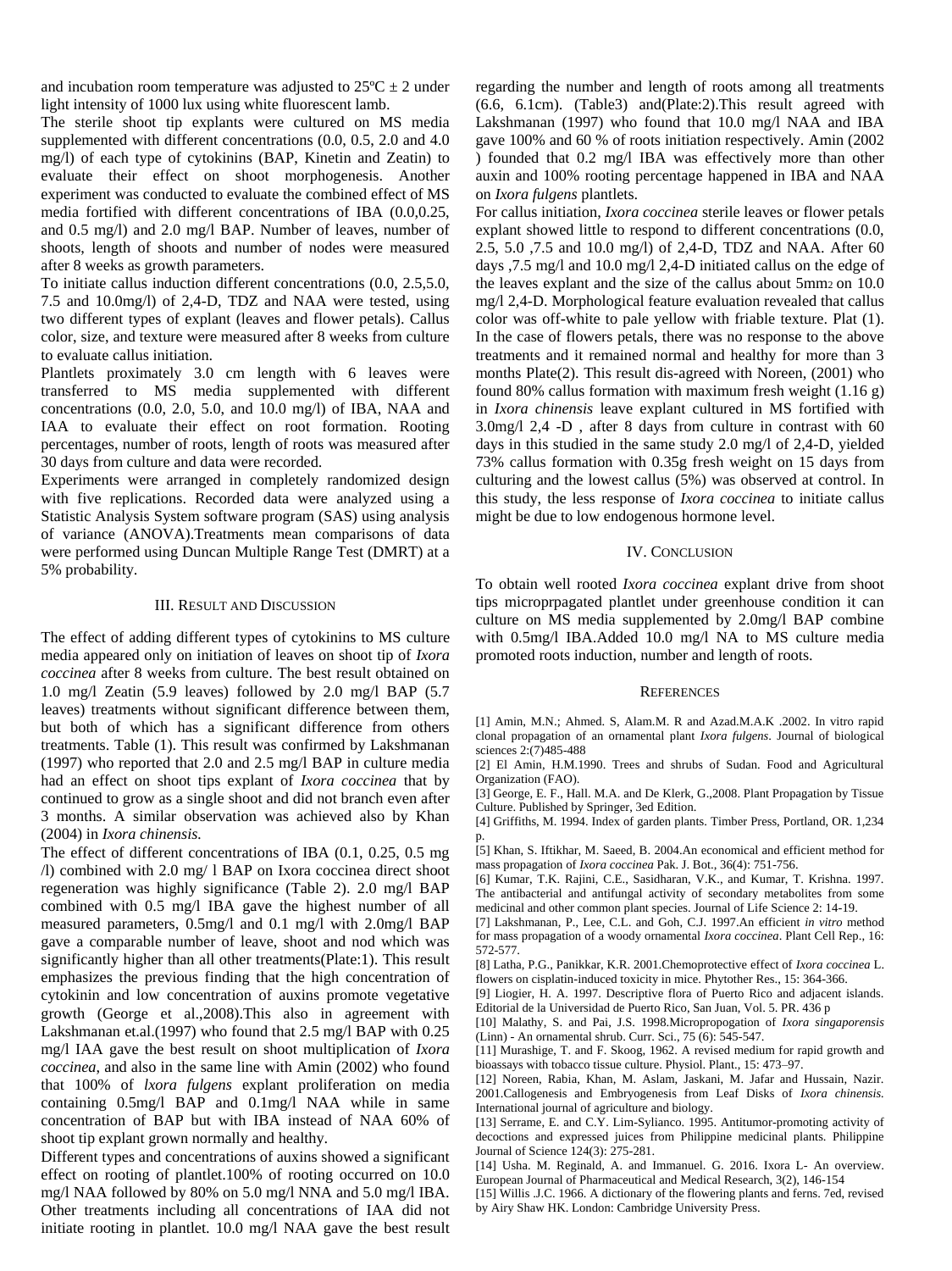and incubation room temperature was adjusted to  $25^{\circ}C \pm 2$  under light intensity of 1000 lux using white fluorescent lamb.

The sterile shoot tip explants were cultured on MS media supplemented with different concentrations (0.0, 0.5, 2.0 and 4.0 mg/l) of each type of cytokinins (BAP, Kinetin and Zeatin) to evaluate their effect on shoot morphogenesis. Another experiment was conducted to evaluate the combined effect of MS media fortified with different concentrations of IBA (0.0,0.25, and 0.5 mg/l) and 2.0 mg/l BAP. Number of leaves, number of shoots, length of shoots and number of nodes were measured after 8 weeks as growth parameters.

To initiate callus induction different concentrations (0.0, 2.5,5.0, 7.5 and 10.0mg/l) of 2,4-D, TDZ and NAA were tested, using two different types of explant (leaves and flower petals). Callus color, size, and texture were measured after 8 weeks from culture to evaluate callus initiation.

Plantlets proximately 3.0 cm length with 6 leaves were transferred to MS media supplemented with different concentrations (0.0, 2.0, 5.0, and 10.0 mg/l) of IBA, NAA and IAA to evaluate their effect on root formation. Rooting percentages, number of roots, length of roots was measured after 30 days from culture and data were recorded.

Experiments were arranged in completely randomized design with five replications. Recorded data were analyzed using a Statistic Analysis System software program (SAS) using analysis of variance (ANOVA).Treatments mean comparisons of data were performed using Duncan Multiple Range Test (DMRT) at a 5% probability.

#### III. RESULT AND DISCUSSION

The effect of adding different types of cytokinins to MS culture media appeared only on initiation of leaves on shoot tip of *Ixora coccinea* after 8 weeks from culture. The best result obtained on 1.0 mg/l Zeatin (5.9 leaves) followed by 2.0 mg/l BAP (5.7 leaves) treatments without significant difference between them, but both of which has a significant difference from others treatments. Table (1). This result was confirmed by Lakshmanan (1997) who reported that 2.0 and 2.5 mg/l BAP in culture media had an effect on shoot tips explant of *Ixora coccinea* that by continued to grow as a single shoot and did not branch even after 3 months. A similar observation was achieved also by Khan (2004) in *Ixora chinensis.*

The effect of different concentrations of IBA (0.1, 0.25, 0.5 mg /l) combined with 2.0 mg/ l BAP on Ixora coccinea direct shoot regeneration was highly significance (Table 2). 2.0 mg/l BAP combined with 0.5 mg/l IBA gave the highest number of all measured parameters, 0.5mg/l and 0.1 mg/l with 2.0mg/l BAP gave a comparable number of leave, shoot and nod which was significantly higher than all other treatments(Plate:1). This result emphasizes the previous finding that the high concentration of cytokinin and low concentration of auxins promote vegetative growth (George et al.,2008).This also in agreement with Lakshmanan et.al.(1997) who found that 2.5 mg/l BAP with 0.25 mg/l IAA gave the best result on shoot multiplication of *Ixora coccinea*, and also in the same line with Amin (2002) who found that 100% of *lxora fulgens* explant proliferation on media containing 0.5mg/l BAP and 0.1mg/l NAA while in same concentration of BAP but with IBA instead of NAA 60% of shoot tip explant grown normally and healthy.

Different types and concentrations of auxins showed a significant effect on rooting of plantlet.100% of rooting occurred on 10.0 mg/l NAA followed by 80% on 5.0 mg/l NNA and 5.0 mg/l IBA. Other treatments including all concentrations of IAA did not initiate rooting in plantlet. 10.0 mg/l NAA gave the best result

regarding the number and length of roots among all treatments (6.6, 6.1cm). (Table3) and(Plate:2).This result agreed with Lakshmanan (1997) who found that 10.0 mg/l NAA and IBA gave 100% and 60 % of roots initiation respectively. Amin (2002 ) founded that 0.2 mg/l IBA was effectively more than other auxin and 100% rooting percentage happened in IBA and NAA on *Ixora fulgens* plantlets.

For callus initiation, *Ixora coccinea* sterile leaves or flower petals explant showed little to respond to different concentrations (0.0, 2.5, 5.0 ,7.5 and 10.0 mg/l) of 2,4-D, TDZ and NAA. After 60 days ,7.5 mg/l and 10.0 mg/l 2,4-D initiated callus on the edge of the leaves explant and the size of the callus about 5mm2 on 10.0 mg/l 2,4-D. Morphological feature evaluation revealed that callus color was off-white to pale yellow with friable texture. Plat (1). In the case of flowers petals, there was no response to the above treatments and it remained normal and healthy for more than 3 months Plate(2). This result dis-agreed with Noreen, (2001) who found 80% callus formation with maximum fresh weight (1.16 g) in *Ixora chinensis* leave explant cultured in MS fortified with 3.0mg/l 2,4 -D , after 8 days from culture in contrast with 60 days in this studied in the same study 2.0 mg/l of 2,4-D, yielded 73% callus formation with 0.35g fresh weight on 15 days from culturing and the lowest callus (5%) was observed at control. In this study, the less response of *Ixora coccinea* to initiate callus might be due to low endogenous hormone level.

### IV. CONCLUSION

To obtain well rooted *Ixora coccinea* explant drive from shoot tips microprpagated plantlet under greenhouse condition it can culture on MS media supplemented by 2.0mg/l BAP combine with 0.5mg/l IBA.Added 10.0 mg/l NA to MS culture media promoted roots induction, number and length of roots.

## **REFERENCES**

[1] Amin, M.N.; Ahmed. S, Alam.M. R and Azad.M.A.K .2002. In vitro rapid clonal propagation of an ornamental plant *Ixora fulgens*. Journal of biological sciences 2:(7)485-488

[2] El Amin, H.M.1990. Trees and shrubs of Sudan. Food and Agricultural Organization (FAO).

[3] George, E. F., Hall. M.A. and De Klerk, G.,2008. Plant Propagation by Tissue Culture. Published by Springer, 3ed Edition.

[4] Griffiths, M. 1994. Index of garden plants. Timber Press, Portland, OR. 1,234 p.

[5] Khan, S. Iftikhar, M. Saeed, B. 2004.An economical and efficient method for mass propagation of *Ixora coccinea* Pak. J. Bot., 36(4): 751-756.

[6] Kumar, T.K. Rajini, C.E., Sasidharan, V.K., and Kumar, T. Krishna. 1997. The antibacterial and antifungal activity of secondary metabolites from some medicinal and other common plant species. Journal of Life Science 2: 14-19.

[7] Lakshmanan, P., Lee, C.L. and Goh, C.J. 1997.An efficient *in vitro* method for mass propagation of a woody ornamental *Ixora coccinea*. Plant Cell Rep., 16: 572-577.

[8] Latha, P.G., Panikkar, K.R. 2001.Chemoprotective effect of *Ixora coccinea* L. flowers on cisplatin-induced toxicity in mice. Phytother Res., 15: 364-366.

[9] Liogier, H. A. 1997. Descriptive flora of Puerto Rico and adjacent islands. Editorial de la Universidad de Puerto Rico, San Juan, Vol. 5. PR. 436 p

[10] Malathy, S. and Pai, J.S. 1998.Micropropogation of *Ixora singaporensis* (Linn) - An ornamental shrub. Curr. Sci., 75 (6): 545-547.

[11] Murashige, T. and F. Skoog, 1962. A revised medium for rapid growth and bioassays with tobacco tissue culture. Physiol. Plant., 15: 473–97.

[12] Noreen, Rabia, Khan, M. Aslam, Jaskani, M. Jafar and Hussain, Nazir. 2001.Callogenesis and Embryogenesis from Leaf Disks of *Ixora chinensis.* International journal of agriculture and biology.

[13] Serrame, E. and C.Y. Lim-Sylianco. 1995. Antitumor-promoting activity of decoctions and expressed juices from Philippine medicinal plants. Philippine Journal of Science 124(3): 275-281.

[14] Usha. M. Reginald, A. and Immanuel. G. 2016. Ixora L- An overview. European Journal of Pharmaceutical and Medical Research, 3(2), 146-154

[15] Willis .J.C. 1966. A dictionary of the flowering plants and ferns. 7ed, revised by Airy Shaw HK. London: Cambridge University Press.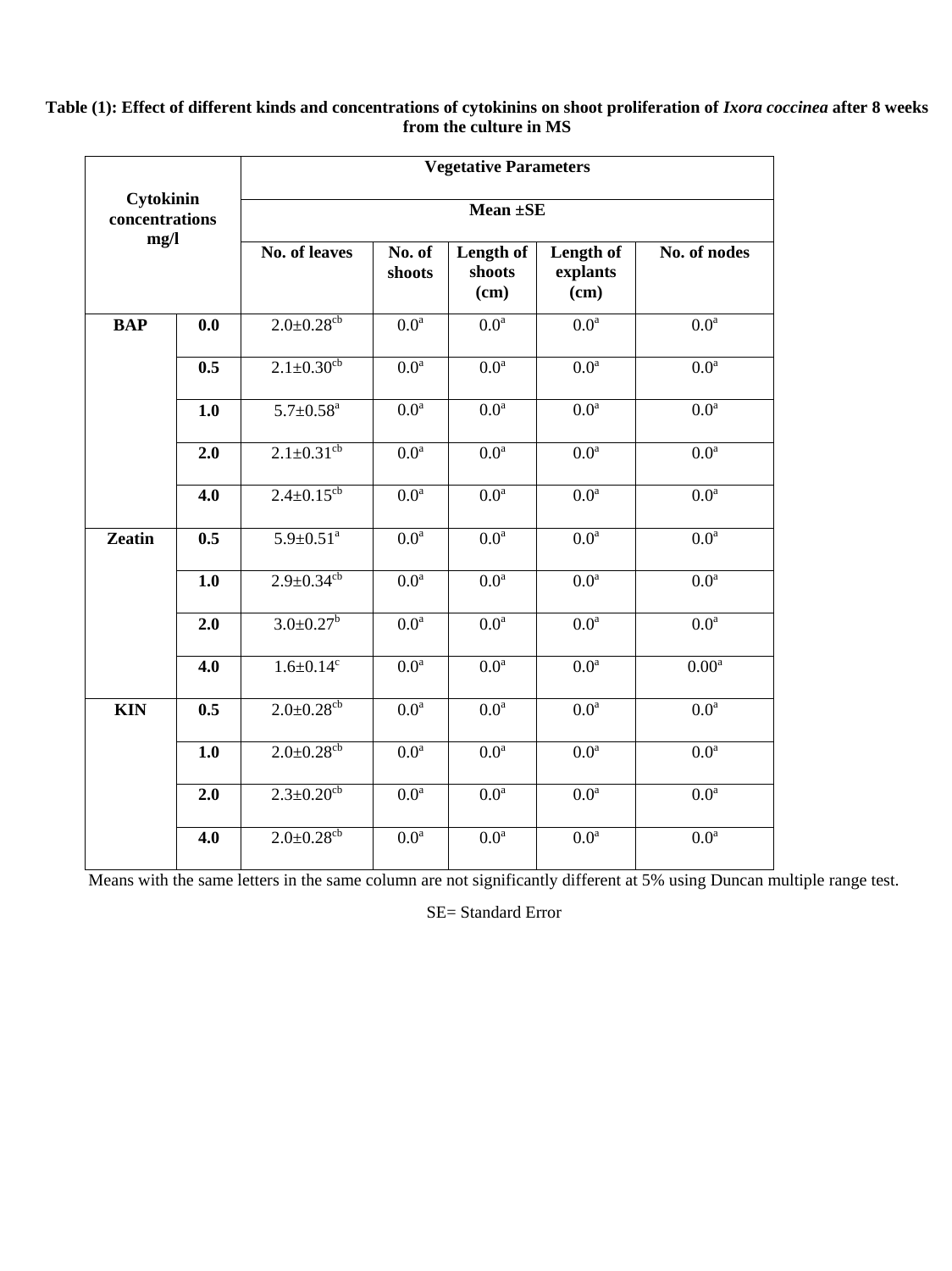## **Table (1): Effect of different kinds and concentrations of cytokinins on shoot proliferation of** *Ixora coccinea* **after 8 weeks from the culture in MS**

|                             |     | <b>Vegetative Parameters</b> |                      |                             |                               |                   |  |  |  |
|-----------------------------|-----|------------------------------|----------------------|-----------------------------|-------------------------------|-------------------|--|--|--|
| Cytokinin<br>concentrations |     | Mean ±SE                     |                      |                             |                               |                   |  |  |  |
| mg/l                        |     | <b>No. of leaves</b>         | No. of<br>shoots     | Length of<br>shoots<br>(cm) | Length of<br>explants<br>(cm) | No. of nodes      |  |  |  |
| <b>BAP</b>                  | 0.0 | $2.0 \pm 0.28$ <sup>cb</sup> | 0.0 <sup>a</sup>     | 0.0 <sup>a</sup>            | 0.0 <sup>a</sup>              | 0.0 <sup>a</sup>  |  |  |  |
|                             | 0.5 | $2.1 \pm 0.30$ <sup>cb</sup> | 0.0 <sup>a</sup>     | 0.0 <sup>a</sup>            | 0.0 <sup>a</sup>              | 0.0 <sup>a</sup>  |  |  |  |
|                             | 1.0 | $5.7 \pm 0.58$ <sup>a</sup>  | 0.0 <sup>a</sup>     | 0.0 <sup>a</sup>            | 0.0 <sup>a</sup>              | 0.0 <sup>a</sup>  |  |  |  |
|                             | 2.0 | $2.1 \pm 0.31^{\text{cb}}$   | $0.0^{\overline{a}}$ | $\overline{0.0^a}$          | $\overline{0.0^a}$            | 0.0 <sup>a</sup>  |  |  |  |
|                             | 4.0 | $2.4 \pm 0.15$ <sup>cb</sup> | $0.0^{\overline{a}}$ | $0.\overline{0^a}$          | $0.0^{\overline{a}}$          | 0.0 <sup>a</sup>  |  |  |  |
| <b>Zeatin</b>               | 0.5 | $5.9 \pm 0.51$ <sup>a</sup>  | 0.0 <sup>a</sup>     | 0.0 <sup>a</sup>            | 0.0 <sup>a</sup>              | 0.0 <sup>a</sup>  |  |  |  |
|                             | 1.0 | $2.9 \pm 0.34$ <sup>cb</sup> | 0.0 <sup>a</sup>     | 0.0 <sup>a</sup>            | 0.0 <sup>a</sup>              | 0.0 <sup>a</sup>  |  |  |  |
|                             | 2.0 | $3.0 \pm 0.27$ <sup>b</sup>  | 0.0 <sup>a</sup>     | 0.0 <sup>a</sup>            | 0.0 <sup>a</sup>              | 0.0 <sup>a</sup>  |  |  |  |
|                             | 4.0 | $1.6 \pm 0.14$ <sup>c</sup>  | 0.0 <sup>a</sup>     | 0.0 <sup>a</sup>            | 0.0 <sup>a</sup>              | 0.00 <sup>a</sup> |  |  |  |
| <b>KIN</b>                  | 0.5 | $2.0 \pm 0.28$ <sup>cb</sup> | 0.0 <sup>a</sup>     | 0.0 <sup>a</sup>            | 0.0 <sup>a</sup>              | 0.0 <sup>a</sup>  |  |  |  |
|                             | 1.0 | $2.0 \pm 0.28$ cb            | 0.0 <sup>a</sup>     | 0.0 <sup>a</sup>            | 0.0 <sup>a</sup>              | 0.0 <sup>a</sup>  |  |  |  |
|                             | 2.0 | $2.3 \pm 0.20$ <sup>cb</sup> | 0.0 <sup>a</sup>     | 0.0 <sup>a</sup>            | 0.0 <sup>a</sup>              | 0.0 <sup>a</sup>  |  |  |  |
|                             | 4.0 | $2.0 \pm 0.28$ <sup>cb</sup> | 0.0 <sup>a</sup>     | 0.0 <sup>a</sup>            | 0.0 <sup>a</sup>              | 0.0 <sup>a</sup>  |  |  |  |

Means with the same letters in the same column are not significantly different at 5% using Duncan multiple range test.

SE= Standard Error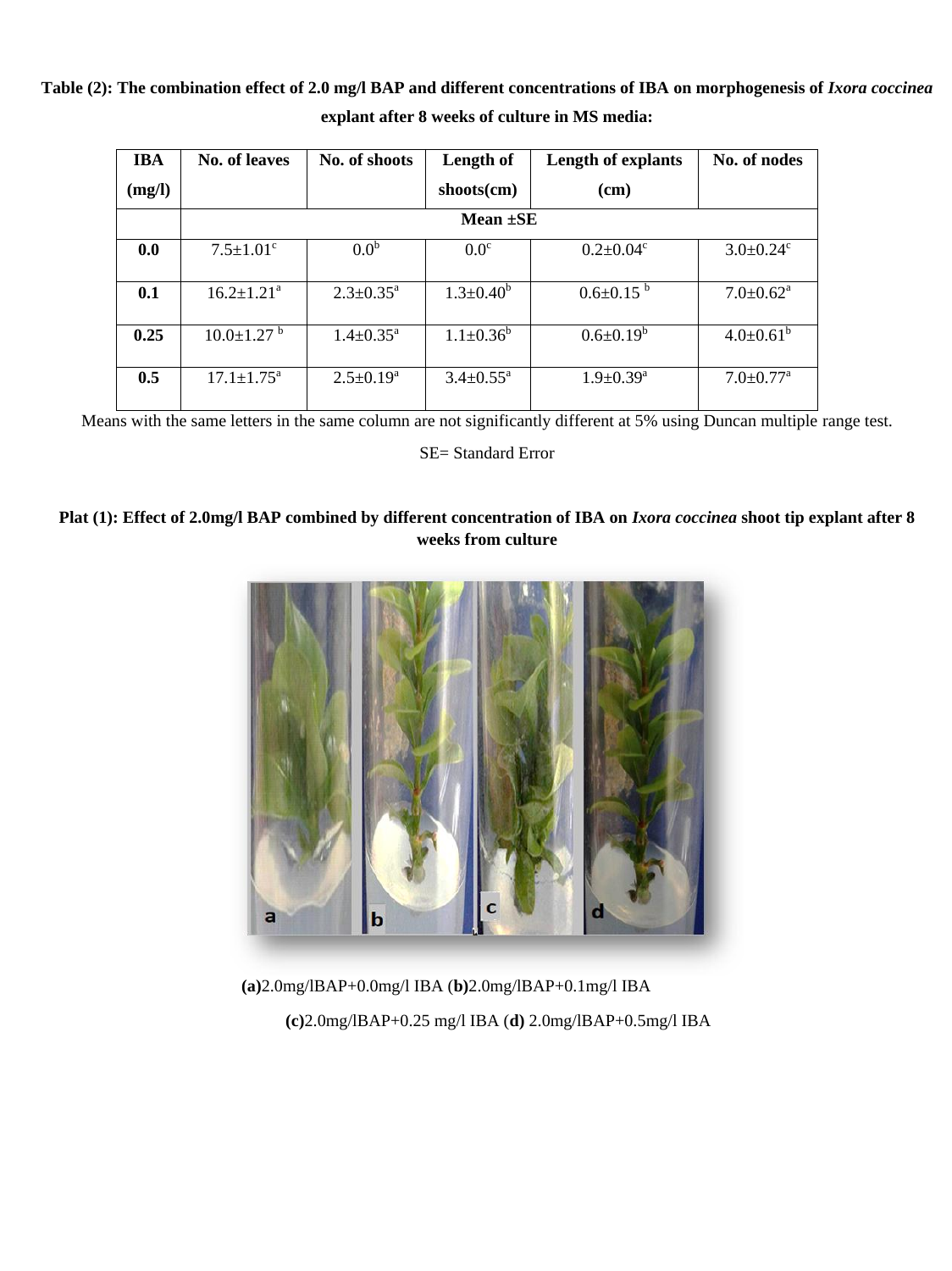**Table (2): The combination effect of 2.0 mg/l BAP and different concentrations of IBA on morphogenesis of** *Ixora coccinea* **explant after 8 weeks of culture in MS media:**

| <b>IBA</b> | No. of leaves                | No. of shoots             | Length of                 | <b>Length of explants</b>   | No. of nodes                |  |  |  |  |
|------------|------------------------------|---------------------------|---------------------------|-----------------------------|-----------------------------|--|--|--|--|
| (mg/l)     |                              |                           | $\text{shots}(\text{cm})$ | (cm)                        |                             |  |  |  |  |
|            | Mean $\pm$ SE                |                           |                           |                             |                             |  |  |  |  |
| 0.0        | $7.5 \pm 1.01$ <sup>c</sup>  | 0.0 <sup>b</sup>          | 0.0 <sup>c</sup>          | $0.2 \pm 0.04$ <sup>c</sup> | $3.0 \pm 0.24$ <sup>c</sup> |  |  |  |  |
| 0.1        | $16.2 \pm 1.21^a$            | $2.3 \pm 0.35^{\text{a}}$ | $1.3 \pm 0.40^b$          | $0.6 \pm 0.15^{b}$          | $7.0 \pm 0.62$ <sup>a</sup> |  |  |  |  |
| 0.25       | $10.0 \pm 1.27$ <sup>b</sup> | $1.4 \pm 0.35^{\text{a}}$ | $1.1 \pm 0.36^b$          | $0.6 \pm 0.19^b$            | $4.0 \pm 0.61^b$            |  |  |  |  |
| 0.5        | $17.1 \pm 1.75^{\text{a}}$   | $2.5 \pm 0.19^a$          | $3.4 \pm 0.55^{\text{a}}$ | $1.9 \pm 0.39^{\text{a}}$   | $7.0 \pm 0.77$ <sup>a</sup> |  |  |  |  |

Means with the same letters in the same column are not significantly different at 5% using Duncan multiple range test.

SE= Standard Error

## **Plat (1): Effect of 2.0mg/l BAP combined by different concentration of IBA on** *Ixora coccinea* **shoot tip explant after 8 weeks from culture**



 **(a)**2.0mg/lBAP+0.0mg/l IBA (**b)**2.0mg/lBAP+0.1mg/l IBA  **(c)**2.0mg/lBAP+0.25 mg/l IBA (**d)** 2.0mg/lBAP+0.5mg/l IBA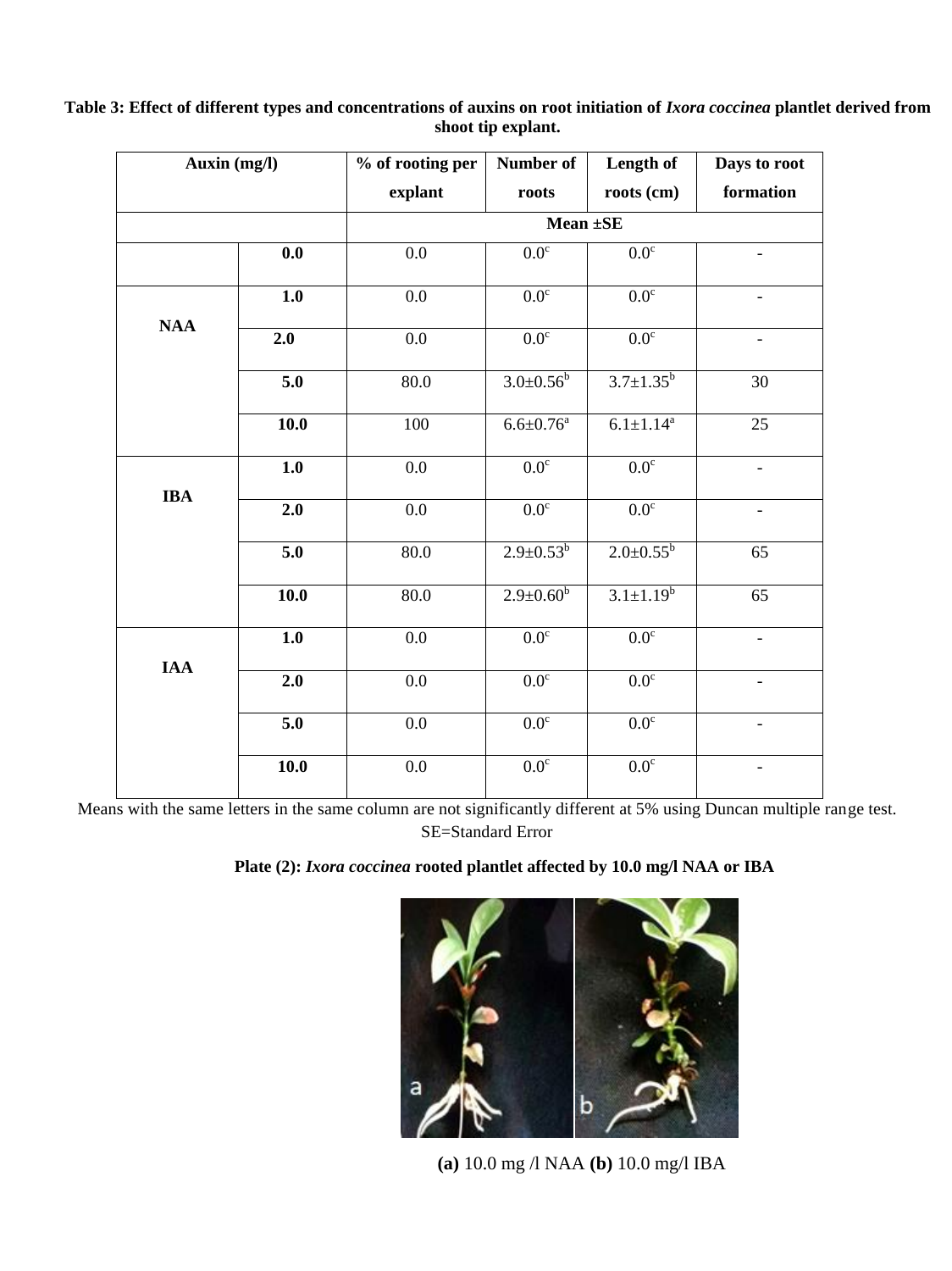| Auxin (mg/l) | % of rooting per | Number of        | Length of                   | Days to root                 |
|--------------|------------------|------------------|-----------------------------|------------------------------|
|              | explant          | roots            | roots (cm)                  | formation                    |
|              |                  |                  |                             |                              |
| 0.0          | 0.0              | 0.0 <sup>c</sup> | 0.0 <sup>c</sup>            | $\qquad \qquad \blacksquare$ |
| 1.0          | 0.0              | 0.0 <sup>c</sup> | 0.0 <sup>c</sup>            |                              |
| 2.0          | 0.0              | 0.0 <sup>c</sup> | 0.0 <sup>c</sup>            | $\qquad \qquad -$            |
| 5.0          | 80.0             | $3.0 \pm 0.56^b$ | $3.7 \pm 1.35^b$            | 30                           |
| 10.0         | 100              | $6.6 \pm 0.76^a$ | $6.1 \pm 1.14$ <sup>a</sup> | 25                           |
| 1.0          | $0.0\,$          | $0.0^{\circ}$    | 0.0 <sup>c</sup>            |                              |
| 2.0          | 0.0              | 0.0 <sup>c</sup> | 0.0 <sup>c</sup>            | $\qquad \qquad -$            |
| 5.0          | 80.0             | $2.9 \pm 0.53^b$ | $2.0 \pm 0.55^b$            | 65                           |
| 10.0         | 80.0             | $2.9 \pm 0.60^b$ | $3.1 \pm 1.19^b$            | $\overline{65}$              |
| 1.0          | 0.0              | 0.0 <sup>c</sup> | 0.0 <sup>c</sup>            | $\qquad \qquad -$            |
| 2.0          | 0.0              | 0.0 <sup>c</sup> | 0.0 <sup>c</sup>            | $\overline{\phantom{a}}$     |
| 5.0          | 0.0              | 0.0 <sup>c</sup> | 0.0 <sup>c</sup>            | $\qquad \qquad -$            |
| 10.0         | $0.0\,$          | 0.0 <sup>c</sup> | 0.0 <sup>c</sup>            | $\overline{\phantom{0}}$     |
|              |                  |                  |                             | Mean $\pm$ SE                |

## Table 3: Effect of different types and concentrations of auxins on root initiation of *Ixora coccinea* plantlet derived from **shoot tip explant.**

Means with the same letters in the same column are not significantly different at 5% using Duncan multiple range test. SE=Standard Error

# **Plate (2):** *Ixora coccinea* **rooted plantlet affected by 10.0 mg/l NAA or IBA**



 **(a)** 10.0 mg /l NAA **(b)** 10.0 mg/l IBA